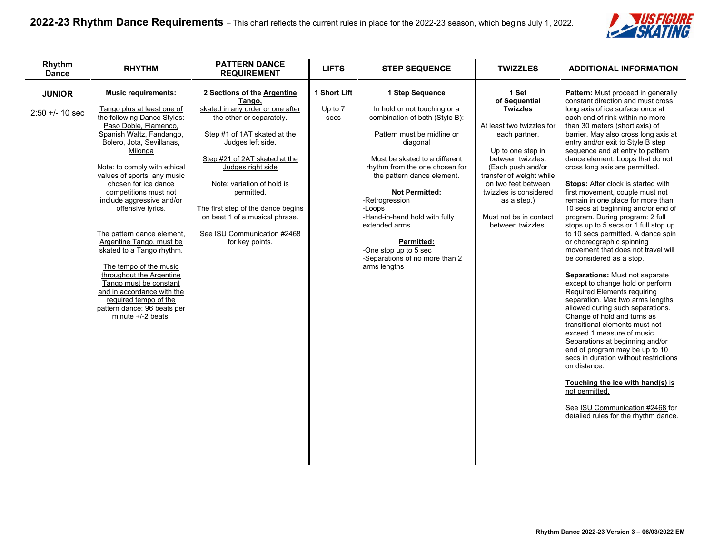

| Rhythm<br><b>Dance</b>           | <b>RHYTHM</b>                                                                                                                                                                                                                                                                                                                                                                                                                                                                                                                                                                                                                             | <b>PATTERN DANCE</b><br><b>REQUIREMENT</b>                                                                                                                                                                                                                                                                                                                                             | <b>LIFTS</b>                    | <b>STEP SEQUENCE</b>                                                                                                                                                                                                                                                                                                                                                                                                         | <b>TWIZZLES</b>                                                                                                                                                                                                                                                                                   | <b>ADDITIONAL INFORMATION</b>                                                                                                                                                                                                                                                                                                                                                                                                                                                                                                                                                                                                                                                                                                                                                                                                                                                                                                                                                                                                                                                                                                                                                                                                                                                                 |
|----------------------------------|-------------------------------------------------------------------------------------------------------------------------------------------------------------------------------------------------------------------------------------------------------------------------------------------------------------------------------------------------------------------------------------------------------------------------------------------------------------------------------------------------------------------------------------------------------------------------------------------------------------------------------------------|----------------------------------------------------------------------------------------------------------------------------------------------------------------------------------------------------------------------------------------------------------------------------------------------------------------------------------------------------------------------------------------|---------------------------------|------------------------------------------------------------------------------------------------------------------------------------------------------------------------------------------------------------------------------------------------------------------------------------------------------------------------------------------------------------------------------------------------------------------------------|---------------------------------------------------------------------------------------------------------------------------------------------------------------------------------------------------------------------------------------------------------------------------------------------------|-----------------------------------------------------------------------------------------------------------------------------------------------------------------------------------------------------------------------------------------------------------------------------------------------------------------------------------------------------------------------------------------------------------------------------------------------------------------------------------------------------------------------------------------------------------------------------------------------------------------------------------------------------------------------------------------------------------------------------------------------------------------------------------------------------------------------------------------------------------------------------------------------------------------------------------------------------------------------------------------------------------------------------------------------------------------------------------------------------------------------------------------------------------------------------------------------------------------------------------------------------------------------------------------------|
| <b>JUNIOR</b><br>$2:50 + 10$ sec | <b>Music requirements:</b><br>Tango plus at least one of<br>the following Dance Styles:<br>Paso Doble, Flamenco,<br>Spanish Waltz, Fandango,<br>Bolero, Jota, Sevillanas,<br>Milonga<br>Note: to comply with ethical<br>values of sports, any music<br>chosen for ice dance<br>competitions must not<br>include aggressive and/or<br>offensive lyrics.<br>The pattern dance element.<br>Argentine Tango, must be<br>skated to a Tango rhythm.<br>The tempo of the music<br>throughout the Argentine<br>Tango must be constant<br>and in accordance with the<br>required tempo of the<br>pattern dance: 96 beats per<br>minute +/-2 beats. | 2 Sections of the Argentine<br>Tango,<br>skated in any order or one after<br>the other or separately.<br>Step #1 of 1AT skated at the<br>Judges left side.<br>Step #21 of 2AT skated at the<br>Judges right side<br>Note: variation of hold is<br>permitted.<br>The first step of the dance begins<br>on beat 1 of a musical phrase.<br>See ISU Communication #2468<br>for key points. | 1 Short Lift<br>Up to 7<br>secs | 1 Step Sequence<br>In hold or not touching or a<br>combination of both (Style B):<br>Pattern must be midline or<br>diagonal<br>Must be skated to a different<br>rhythm from the one chosen for<br>the pattern dance element.<br><b>Not Permitted:</b><br>-Retrogression<br>-Loops<br>-Hand-in-hand hold with fully<br>extended arms<br>Permitted:<br>-One stop up to 5 sec<br>-Separations of no more than 2<br>arms lengths | 1 Set<br>of Sequential<br><b>Twizzles</b><br>At least two twizzles for<br>each partner.<br>Up to one step in<br>between twizzles.<br>(Each push and/or<br>transfer of weight while<br>on two feet between<br>twizzles is considered<br>as a step.)<br>Must not be in contact<br>between twizzles. | Pattern: Must proceed in generally<br>constant direction and must cross<br>long axis of ice surface once at<br>each end of rink within no more<br>than 30 meters (short axis) of<br>barrier. May also cross long axis at<br>entry and/or exit to Style B step<br>sequence and at entry to pattern<br>dance element. Loops that do not<br>cross long axis are permitted.<br>Stops: After clock is started with<br>first movement, couple must not<br>remain in one place for more than<br>10 secs at beginning and/or end of<br>program. During program: 2 full<br>stops up to 5 secs or 1 full stop up<br>to 10 secs permitted. A dance spin<br>or choreographic spinning<br>movement that does not travel will<br>be considered as a stop.<br>Separations: Must not separate<br>except to change hold or perform<br><b>Required Elements requiring</b><br>separation. Max two arms lengths<br>allowed during such separations.<br>Change of hold and turns as<br>transitional elements must not<br>exceed 1 measure of music.<br>Separations at beginning and/or<br>end of program may be up to 10<br>secs in duration without restrictions<br>on distance.<br>Touching the ice with hand(s) is<br>not permitted.<br>See ISU Communication #2468 for<br>detailed rules for the rhythm dance. |